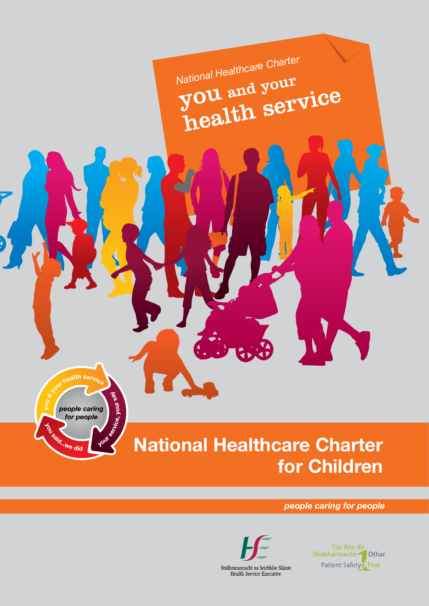National Healthcare Charter<br>**YOU** and your<br>health service

hice, your <sup>s0</sup> people caring for people Le Capit ... We did

ealth serv

# **National Healthcare Charter for Children**

*people caring for people*



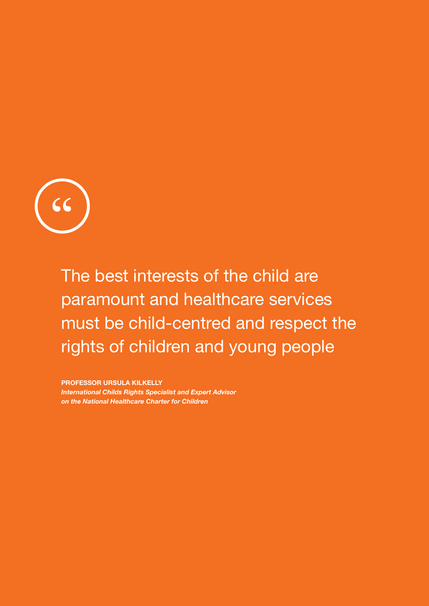

The best interests of the child are paramount and healthcare services must be child-centred and respect the rights of children and young people

**PROFESSOR URSULA KILKELLY** *International Childs Rights Specialist and Expert Advisor on the National Healthcare Charter for Children*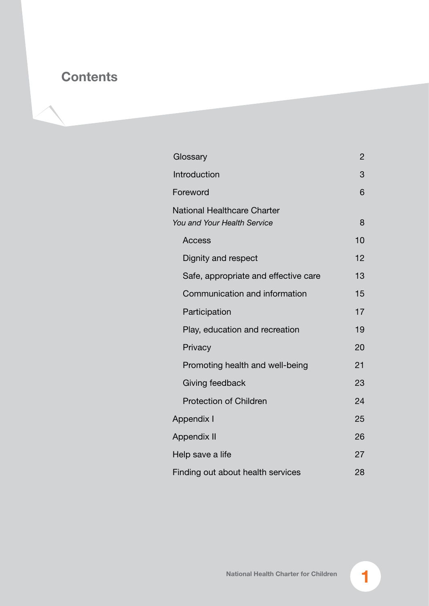# **Contents**

| Glossary                                                          | 2  |  |  |
|-------------------------------------------------------------------|----|--|--|
| Introduction                                                      | 3  |  |  |
| Foreword                                                          | 6  |  |  |
| <b>National Healthcare Charter</b><br>You and Your Health Service | 8  |  |  |
| <b>Access</b>                                                     | 10 |  |  |
| Dignity and respect                                               | 12 |  |  |
| Safe, appropriate and effective care                              | 13 |  |  |
| Communication and information                                     | 15 |  |  |
| Participation                                                     | 17 |  |  |
| Play, education and recreation                                    | 19 |  |  |
| Privacy                                                           | 20 |  |  |
| Promoting health and well-being                                   | 21 |  |  |
| Giving feedback                                                   | 23 |  |  |
| <b>Protection of Children</b>                                     | 24 |  |  |
| <b>Appendix I</b>                                                 | 25 |  |  |
| <b>Appendix II</b>                                                |    |  |  |
| Help save a life                                                  |    |  |  |
| Finding out about health services                                 |    |  |  |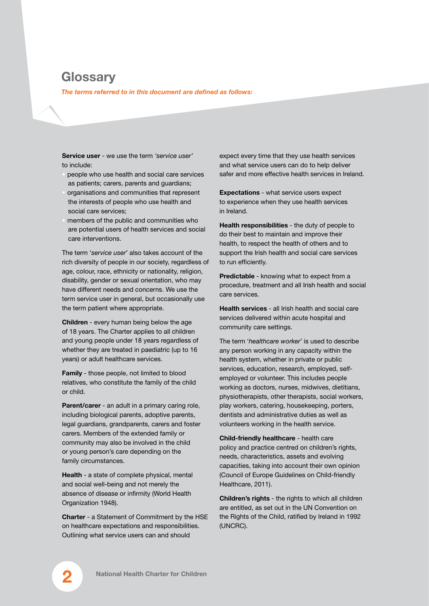# **Glossary**

*The terms referred to in this document are defined as follows:*

**Service user** - we use the term *'service user'* to include:

- people who use health and social care services as patients; carers, parents and guardians;
- organisations and communities that represent the interests of people who use health and social care services;
- members of the public and communities who are potential users of health services and social care interventions.

The term '*service user*' also takes account of the rich diversity of people in our society, regardless of age, colour, race, ethnicity or nationality, religion, disability, gender or sexual orientation, who may have different needs and concerns. We use the term service user in general, but occasionally use the term patient where appropriate.

**Children** - every human being below the age of 18 years. The Charter applies to all children and young people under 18 years regardless of whether they are treated in paediatric (up to 16 years) or adult healthcare services.

**Family** - those people, not limited to blood relatives, who constitute the family of the child or child.

**Parent/carer** - an adult in a primary caring role, including biological parents, adoptive parents, legal guardians, grandparents, carers and foster carers. Members of the extended family or community may also be involved in the child or young person's care depending on the family circumstances.

**Health** - a state of complete physical, mental and social well-being and not merely the absence of disease or infirmity (World Health Organization 1948).

**Charter** - a Statement of Commitment by the HSE on healthcare expectations and responsibilities. Outlining what service users can and should

expect every time that they use health services and what service users can do to help deliver safer and more effective health services in Ireland.

**Expectations** - what service users expect to experience when they use health services in Ireland.

**Health responsibilities** - the duty of people to do their best to maintain and improve their health, to respect the health of others and to support the Irish health and social care services to run efficiently.

**Predictable** - knowing what to expect from a procedure, treatment and all Irish health and social care services.

**Health services** - all Irish health and social care services delivered within acute hospital and community care settings.

The term '*healthcare worker*' is used to describe any person working in any capacity within the health system, whether in private or public services, education, research, employed, selfemployed or volunteer. This includes people working as doctors, nurses, midwives, dietitians, physiotherapists, other therapists, social workers, play workers, catering, housekeeping, porters, dentists and administrative duties as well as volunteers working in the health service.

**Child-friendly healthcare** - health care policy and practice centred on children's rights, needs, characteristics, assets and evolving capacities, taking into account their own opinion (Council of Europe Guidelines on Child-friendly Healthcare, 2011).

**Children's rights** - the rights to which all children are entitled, as set out in the UN Convention on the Rights of the Child, ratified by Ireland in 1992 (UNCRC).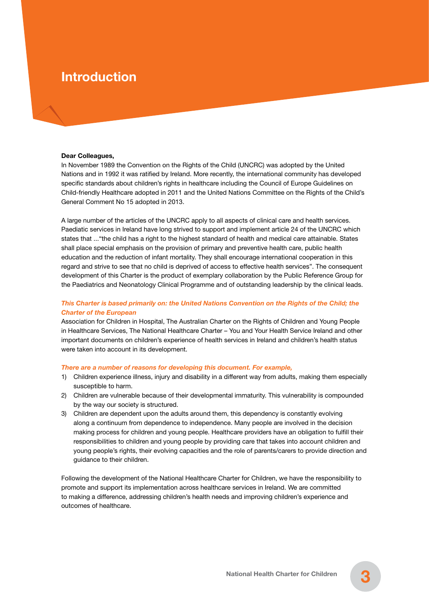# **Introduction**

#### **Dear Colleagues,**

In November 1989 the Convention on the Rights of the Child (UNCRC) was adopted by the United Nations and in 1992 it was ratified by Ireland. More recently, the international community has developed specific standards about children's rights in healthcare including the Council of Europe Guidelines on Child-friendly Healthcare adopted in 2011 and the United Nations Committee on the Rights of the Child's General Comment No 15 adopted in 2013.

A large number of the articles of the UNCRC apply to all aspects of clinical care and health services. Paediatic services in Ireland have long strived to support and implement article 24 of the UNCRC which states that ..."the child has a right to the highest standard of health and medical care attainable. States shall place special emphasis on the provision of primary and preventive health care, public health education and the reduction of infant mortality. They shall encourage international cooperation in this regard and strive to see that no child is deprived of access to effective health services". The consequent development of this Charter is the product of exemplary collaboration by the Public Reference Group for the Paediatrics and Neonatology Clinical Programme and of outstanding leadership by the clinical leads.

### *This Charter is based primarily on: the United Nations Convention on the Rights of the Child; the Charter of the European*

Association for Children in Hospital, The Australian Charter on the Rights of Children and Young People in Healthcare Services, The National Healthcare Charter – You and Your Health Service Ireland and other important documents on children's experience of health services in Ireland and children's health status were taken into account in its development.

#### *There are a number of reasons for developing this document. For example,*

- 1) Children experience illness, injury and disability in a different way from adults, making them especially susceptible to harm.
- 2) Children are vulnerable because of their developmental immaturity. This vulnerability is compounded by the way our society is structured.
- 3) Children are dependent upon the adults around them, this dependency is constantly evolving along a continuum from dependence to independence. Many people are involved in the decision making process for children and young people. Healthcare providers have an obligation to fulfill their responsibilities to children and young people by providing care that takes into account children and young people's rights, their evolving capacities and the role of parents/carers to provide direction and guidance to their children.

Following the development of the National Healthcare Charter for Children, we have the responsibility to promote and support its implementation across healthcare services in Ireland. We are committed to making a difference, addressing children's health needs and improving children's experience and outcomes of healthcare.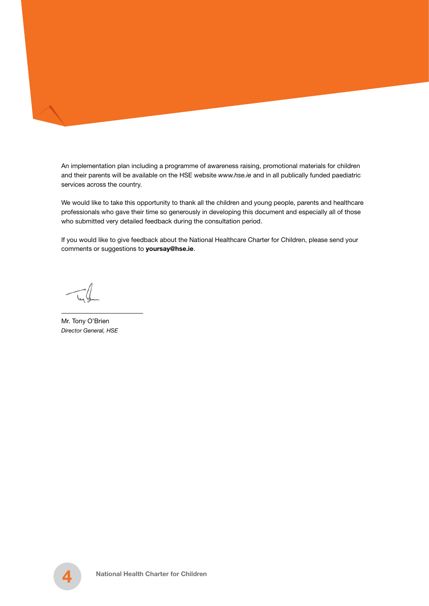An implementation plan including a programme of awareness raising, promotional materials for children and their parents will be available on the HSE website *www.hse.ie* and in all publically funded paediatric services across the country.

We would like to take this opportunity to thank all the children and young people, parents and healthcare professionals who gave their time so generously in developing this document and especially all of those who submitted very detailed feedback during the consultation period.

If you would like to give feedback about the National Healthcare Charter for Children, please send your comments or suggestions to **yoursay@hse.ie**.

Mr. Tony O'Brien *Director General, HSE*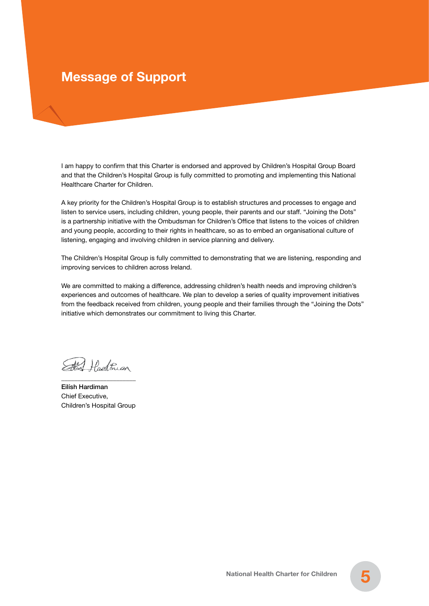# **Message of Support**

I am happy to confirm that this Charter is endorsed and approved by Children's Hospital Group Board and that the Children's Hospital Group is fully committed to promoting and implementing this National Healthcare Charter for Children.

A key priority for the Children's Hospital Group is to establish structures and processes to engage and listen to service users, including children, young people, their parents and our staff. "Joining the Dots" is a partnership initiative with the Ombudsman for Children's Office that listens to the voices of children and young people, according to their rights in healthcare, so as to embed an organisational culture of listening, engaging and involving children in service planning and delivery.

The Children's Hospital Group is fully committed to demonstrating that we are listening, responding and improving services to children across Ireland.

We are committed to making a difference, addressing children's health needs and improving children's experiences and outcomes of healthcare. We plan to develop a series of quality improvement initiatives from the feedback received from children, young people and their families through the "Joining the Dots" initiative which demonstrates our commitment to living this Charter.

Etal Hadthan \_\_\_\_\_\_\_\_\_\_\_\_\_\_\_\_\_\_\_\_\_\_\_

Eilísh Hardiman Chief Executive, Children's Hospital Group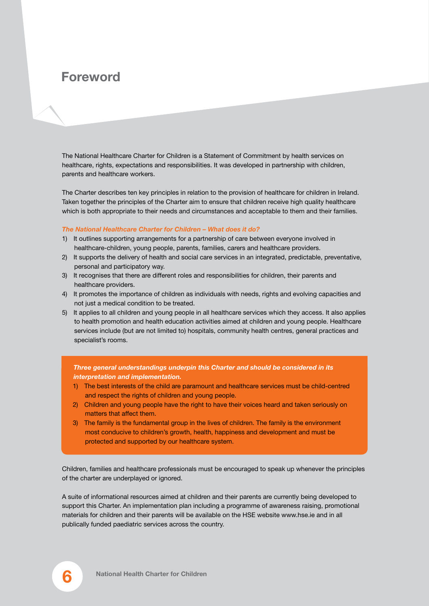# **Foreword**

The National Healthcare Charter for Children is a Statement of Commitment by health services on healthcare, rights, expectations and responsibilities. It was developed in partnership with children, parents and healthcare workers.

The Charter describes ten key principles in relation to the provision of healthcare for children in Ireland. Taken together the principles of the Charter aim to ensure that children receive high quality healthcare which is both appropriate to their needs and circumstances and acceptable to them and their families.

#### *The National Healthcare Charter for Children – What does it do?*

- 1) It outlines supporting arrangements for a partnership of care between everyone involved in healthcare-children, young people, parents, families, carers and healthcare providers.
- 2) It supports the delivery of health and social care services in an integrated, predictable, preventative, personal and participatory way.
- 3) It recognises that there are different roles and responsibilities for children, their parents and healthcare providers.
- 4) It promotes the importance of children as individuals with needs, rights and evolving capacities and not just a medical condition to be treated.
- 5) It applies to all children and young people in all healthcare services which they access. It also applies to health promotion and health education activities aimed at children and young people. Healthcare services include (but are not limited to) hospitals, community health centres, general practices and specialist's rooms.

*Three general understandings underpin this Charter and should be considered in its interpretation and implementation.*

- 1) The best interests of the child are paramount and healthcare services must be child-centred and respect the rights of children and young people.
- 2) Children and young people have the right to have their voices heard and taken seriously on matters that affect them.
- 3) The family is the fundamental group in the lives of children. The family is the environment most conducive to children's growth, health, happiness and development and must be protected and supported by our healthcare system.

Children, families and healthcare professionals must be encouraged to speak up whenever the principles of the charter are underplayed or ignored.

A suite of informational resources aimed at children and their parents are currently being developed to support this Charter. An implementation plan including a programme of awareness raising, promotional materials for children and their parents will be available on the HSE website www.hse.ie and in all publically funded paediatric services across the country.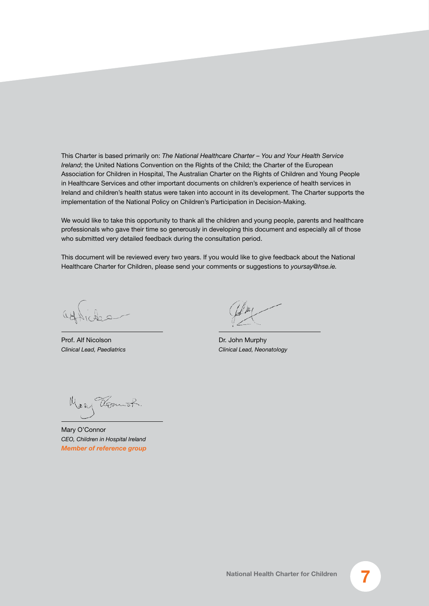This Charter is based primarily on: *The National Healthcare Charter – You and Your Health Service Ireland*; the United Nations Convention on the Rights of the Child; the Charter of the European Association for Children in Hospital, The Australian Charter on the Rights of Children and Young People in Healthcare Services and other important documents on children's experience of health services in Ireland and children's health status were taken into account in its development. The Charter supports the implementation of the National Policy on Children's Participation in Decision-Making.

We would like to take this opportunity to thank all the children and young people, parents and healthcare professionals who gave their time so generously in developing this document and especially all of those who submitted very detailed feedback during the consultation period.

This document will be reviewed every two years. If you would like to give feedback about the National Healthcare Charter for Children, please send your comments or suggestions to *yoursay@hse.ie.*

Prof. Alf Nicolson *Clinical Lead, Paediatrics*

Dr. John Murphy *Clinical Lead, Neonatology*

Mary Vermot:

Mary O'Connor *CEO, Children in Hospital Ireland Member of reference group*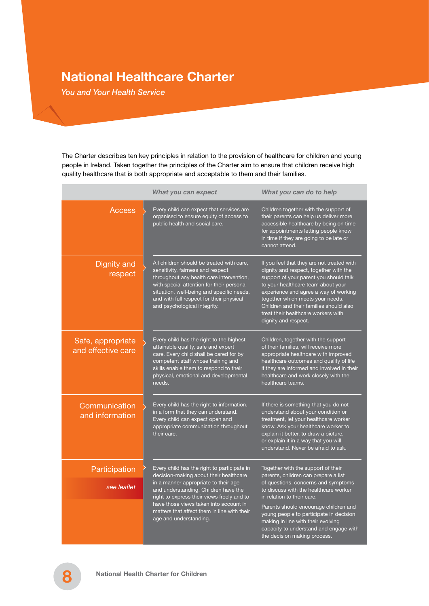# **National Healthcare Charter**

*You and Your Health Service*

The Charter describes ten key principles in relation to the provision of healthcare for children and young people in Ireland. Taken together the principles of the Charter aim to ensure that children receive high quality healthcare that is both appropriate and acceptable to them and their families.

|                                         | What you can expect                                                                                                                                                                                                                                                                              | What you can do to help                                                                                                                                                                                                                                                                                                                                     |  |
|-----------------------------------------|--------------------------------------------------------------------------------------------------------------------------------------------------------------------------------------------------------------------------------------------------------------------------------------------------|-------------------------------------------------------------------------------------------------------------------------------------------------------------------------------------------------------------------------------------------------------------------------------------------------------------------------------------------------------------|--|
| Access                                  | Every child can expect that services are<br>organised to ensure equity of access to<br>public health and social care.                                                                                                                                                                            | Children together with the support of<br>their parents can help us deliver more<br>accessible healthcare by being on time<br>for appointments letting people know<br>in time if they are going to be late or<br>cannot attend.                                                                                                                              |  |
| Dignity and<br>respect                  | All children should be treated with care.<br>sensitivity, fairness and respect<br>throughout any health care intervention,<br>with special attention for their personal<br>situation, well-being and specific needs,<br>and with full respect for their physical<br>and psychological integrity. | If you feel that they are not treated with<br>dignity and respect, together with the<br>support of your parent you should talk<br>to your healthcare team about your<br>experience and agree a way of working<br>together which meets your needs.<br>Children and their families should also<br>treat their healthcare workers with<br>dignity and respect. |  |
| Safe, appropriate<br>and effective care | Every child has the right to the highest<br>attainable quality, safe and expert<br>care. Every child shall be cared for by<br>competent staff whose training and<br>skills enable them to respond to their<br>physical, emotional and developmental<br>needs.                                    | Children, together with the support<br>of their families, will receive more<br>appropriate healthcare with improved<br>healthcare outcomes and quality of life<br>if they are informed and involved in their<br>healthcare and work closely with the<br>healthcare teams.                                                                                   |  |
| Communication<br>and information        | Every child has the right to information,<br>in a form that they can understand.<br>Every child can expect open and<br>appropriate communication throughout<br>their care.                                                                                                                       | If there is something that you do not<br>understand about your condition or<br>treatment, let your healthcare worker<br>know. Ask your healthcare worker to<br>explain it better, to draw a picture,<br>or explain it in a way that you will<br>understand. Never be afraid to ask.                                                                         |  |
| Participation                           | Every child has the right to participate in<br>decision-making about their healthcare                                                                                                                                                                                                            | Together with the support of their<br>parents, children can prepare a list                                                                                                                                                                                                                                                                                  |  |
| see leaflet                             | in a manner appropriate to their age<br>and understanding. Children have the<br>right to express their views freely and to                                                                                                                                                                       | of questions, concerns and symptoms<br>to discuss with the healthcare worker<br>in relation to their care.                                                                                                                                                                                                                                                  |  |
|                                         | have those views taken into account in<br>matters that affect them in line with their<br>age and understanding.                                                                                                                                                                                  | Parents should encourage children and<br>young people to participate in decision<br>making in line with their evolving<br>capacity to understand and engage with<br>the decision making process.                                                                                                                                                            |  |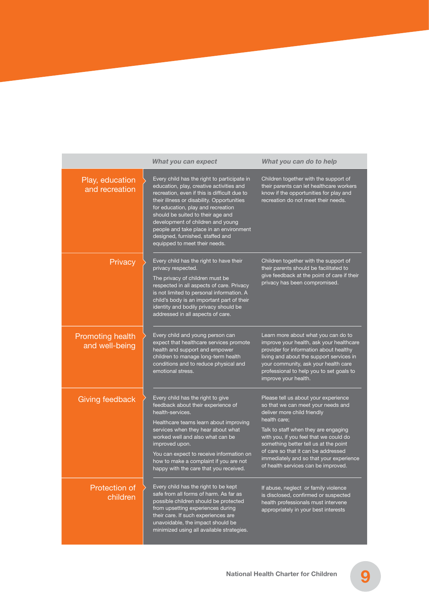|                                           | What you can expect                                                                                                                                                                                                                                                                                                                                                                                                   | What you can do to help                                                                                                                                                                                                                                                                                                                                                       |
|-------------------------------------------|-----------------------------------------------------------------------------------------------------------------------------------------------------------------------------------------------------------------------------------------------------------------------------------------------------------------------------------------------------------------------------------------------------------------------|-------------------------------------------------------------------------------------------------------------------------------------------------------------------------------------------------------------------------------------------------------------------------------------------------------------------------------------------------------------------------------|
| Play, education<br>and recreation         | Every child has the right to participate in<br>education, play, creative activities and<br>recreation, even if this is difficult due to<br>their illness or disability. Opportunities<br>for education, play and recreation<br>should be suited to their age and<br>development of children and young<br>people and take place in an environment<br>designed, furnished, staffed and<br>equipped to meet their needs. | Children together with the support of<br>their parents can let healthcare workers<br>know if the opportunities for play and<br>recreation do not meet their needs.                                                                                                                                                                                                            |
| Privacy                                   | Every child has the right to have their<br>privacy respected.<br>The privacy of children must be<br>respected in all aspects of care. Privacy<br>is not limited to personal information. A<br>child's body is an important part of their<br>identity and bodily privacy should be<br>addressed in all aspects of care.                                                                                                | Children together with the support of<br>their parents should be facilitated to<br>give feedback at the point of care if their<br>privacy has been compromised.                                                                                                                                                                                                               |
| <b>Promoting health</b><br>and well-being | Every child and young person can<br>expect that healthcare services promote<br>health and support and empower<br>children to manage long-term health<br>conditions and to reduce physical and<br>emotional stress.                                                                                                                                                                                                    | Learn more about what you can do to<br>improve your health, ask your healthcare<br>provider for information about healthy<br>living and about the support services in<br>your community, ask your health care<br>professional to help you to set goals to<br>improve your health.                                                                                             |
| Giving feedback                           | Every child has the right to give<br>feedback about their experience of<br>health-services.<br>Healthcare teams learn about improving<br>services when they hear about what<br>worked well and also what can be<br>improved upon.<br>You can expect to receive information on<br>how to make a complaint if you are not<br>happy with the care that you received.                                                     | Please tell us about your experience<br>so that we can meet your needs and<br>deliver more child friendly<br>health care;<br>Talk to staff when they are engaging<br>with you, if you feel that we could do<br>something better tell us at the point<br>of care so that it can be addressed<br>immediately and so that your experience<br>of health services can be improved. |
| Protection of<br>children                 | Every child has the right to be kept<br>safe from all forms of harm. As far as<br>possible children should be protected<br>from upsetting experiences during<br>their care. If such experiences are<br>unavoidable, the impact should be<br>minimized using all available strategies.                                                                                                                                 | If abuse, neglect or family violence<br>is disclosed, confirmed or suspected<br>health professionals must intervene<br>appropriately in your best interests                                                                                                                                                                                                                   |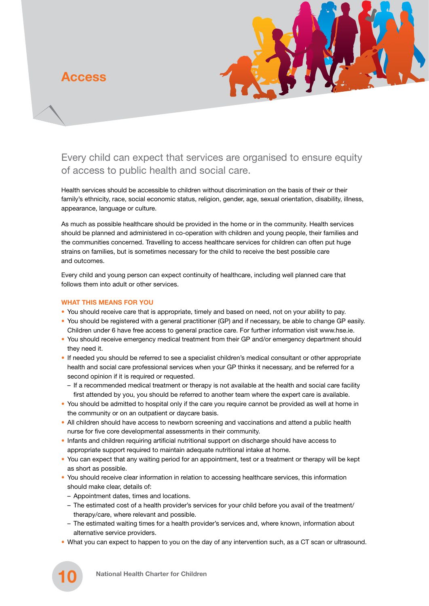**Access**



Every child can expect that services are organised to ensure equity of access to public health and social care.

Health services should be accessible to children without discrimination on the basis of their or their family's ethnicity, race, social economic status, religion, gender, age, sexual orientation, disability, illness, appearance, language or culture.

As much as possible healthcare should be provided in the home or in the community. Health services should be planned and administered in co-operation with children and young people, their families and the communities concerned. Travelling to access healthcare services for children can often put huge strains on families, but is sometimes necessary for the child to receive the best possible care and outcomes.

Every child and young person can expect continuity of healthcare, including well planned care that follows them into adult or other services.

#### **WHAT THIS MEANS FOR YOU**

- You should receive care that is appropriate, timely and based on need, not on your ability to pay.
- You should be registered with a general practitioner (GP) and if necessary, be able to change GP easily. Children under 6 have free access to general practice care. For further information visit www.hse.ie.
- You should receive emergency medical treatment from their GP and/or emergency department should they need it.
- If needed you should be referred to see a specialist children's medical consultant or other appropriate health and social care professional services when your GP thinks it necessary, and be referred for a second opinion if it is required or requested.
- If a recommended medical treatment or therapy is not available at the health and social care facility first attended by you, you should be referred to another team where the expert care is available.
- You should be admitted to hospital only if the care you require cannot be provided as well at home in the community or on an outpatient or daycare basis.
- All children should have access to newborn screening and vaccinations and attend a public health nurse for five core developmental assessments in their community.
- Infants and children requiring artificial nutritional support on discharge should have access to appropriate support required to maintain adequate nutritional intake at home.
- You can expect that any waiting period for an appointment, test or a treatment or therapy will be kept as short as possible.
- You should receive clear information in relation to accessing healthcare services, this information should make clear, details of:
	- Appointment dates, times and locations.
	- The estimated cost of a health provider's services for your child before you avail of the treatment/ therapy/care, where relevant and possible.
	- The estimated waiting times for a health provider's services and, where known, information about alternative service providers.
- What you can expect to happen to you on the day of any intervention such, as a CT scan or ultrasound.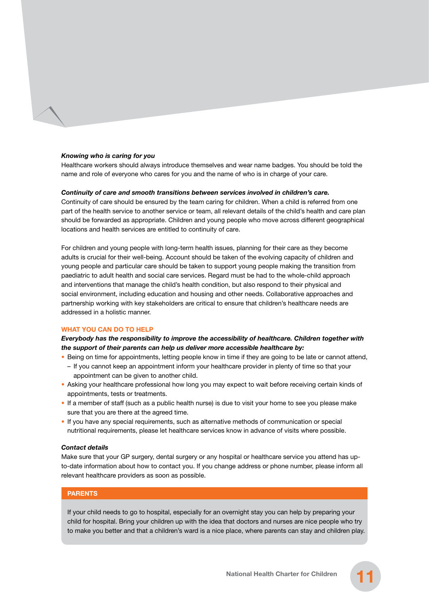#### *Knowing who is caring for you*

Healthcare workers should always introduce themselves and wear name badges. You should be told the name and role of everyone who cares for you and the name of who is in charge of your care.

#### *Continuity of care and smooth transitions between services involved in children's care.*

Continuity of care should be ensured by the team caring for children. When a child is referred from one part of the health service to another service or team, all relevant details of the child's health and care plan should be forwarded as appropriate. Children and young people who move across different geographical locations and health services are entitled to continuity of care.

For children and young people with long-term health issues, planning for their care as they become adults is crucial for their well-being. Account should be taken of the evolving capacity of children and young people and particular care should be taken to support young people making the transition from paediatric to adult health and social care services. Regard must be had to the whole-child approach and interventions that manage the child's health condition, but also respond to their physical and social environment, including education and housing and other needs. Collaborative approaches and partnership working with key stakeholders are critical to ensure that children's healthcare needs are addressed in a holistic manner.

#### **WHAT YOU CAN DO TO HELP**

### *Everybody has the responsibility to improve the accessibility of healthcare. Children together with the support of their parents can help us deliver more accessible healthcare by:*

- Being on time for appointments, letting people know in time if they are going to be late or cannot attend,
- If you cannot keep an appointment inform your healthcare provider in plenty of time so that your appointment can be given to another child.
- Asking your healthcare professional how long you may expect to wait before receiving certain kinds of appointments, tests or treatments.
- If a member of staff (such as a public health nurse) is due to visit your home to see you please make sure that you are there at the agreed time.
- If you have any special requirements, such as alternative methods of communication or special nutritional requirements, please let healthcare services know in advance of visits where possible.

#### *Contact details*

Make sure that your GP surgery, dental surgery or any hospital or healthcare service you attend has upto-date information about how to contact you. If you change address or phone number, please inform all relevant healthcare providers as soon as possible.

### **PARENTS**

If your child needs to go to hospital, especially for an overnight stay you can help by preparing your child for hospital. Bring your children up with the idea that doctors and nurses are nice people who try to make you better and that a children's ward is a nice place, where parents can stay and children play.

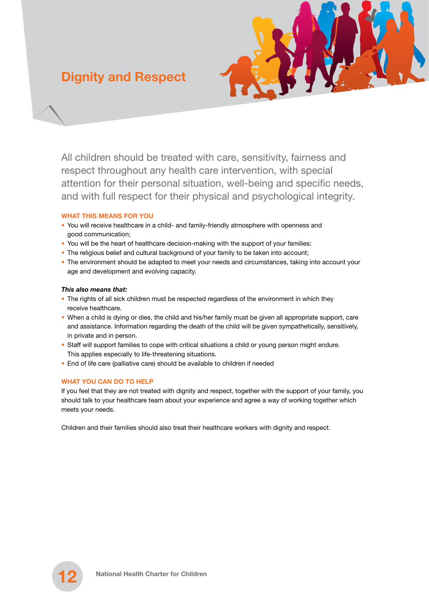# **Dignity and Respect**



All children should be treated with care, sensitivity, fairness and respect throughout any health care intervention, with special attention for their personal situation, well-being and specific needs, and with full respect for their physical and psychological integrity.

### **WHAT THIS MEANS FOR YOU**

- You will receive healthcare in a child- and family-friendly atmosphere with openness and good communication;
- You will be the heart of healthcare decision-making with the support of your families;
- The religious belief and cultural background of your family to be taken into account;
- The environment should be adapted to meet your needs and circumstances, taking into account your age and development and evolving capacity.

### *This also means that:*

- The rights of all sick children must be respected regardless of the environment in which they receive healthcare.
- When a child is dying or dies, the child and his/her family must be given all appropriate support, care and assistance. Information regarding the death of the child will be given sympathetically, sensitively, in private and in person.
- Staff will support families to cope with critical situations a child or young person might endure. This applies especially to life-threatening situations.
- End of life care (palliative care) should be available to children if needed

# **WHAT YOU CAN DO TO HELP**

If you feel that they are not treated with dignity and respect, together with the support of your family, you should talk to your healthcare team about your experience and agree a way of working together which meets your needs.

Children and their families should also treat their healthcare workers with dignity and respect.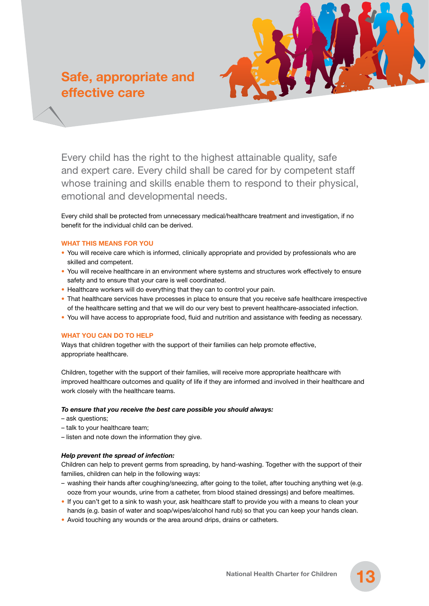# **Safe, appropriate and effective care**



Every child has the right to the highest attainable quality, safe and expert care. Every child shall be cared for by competent staff whose training and skills enable them to respond to their physical, emotional and developmental needs.

Every child shall be protected from unnecessary medical/healthcare treatment and investigation, if no benefit for the individual child can be derived.

#### **WHAT THIS MEANS FOR YOU**

- You will receive care which is informed, clinically appropriate and provided by professionals who are skilled and competent.
- You will receive healthcare in an environment where systems and structures work effectively to ensure safety and to ensure that your care is well coordinated.
- Healthcare workers will do everything that they can to control your pain.
- That healthcare services have processes in place to ensure that you receive safe healthcare irrespective of the healthcare setting and that we will do our very best to prevent healthcare-associated infection.
- You will have access to appropriate food, fluid and nutrition and assistance with feeding as necessary.

### **WHAT YOU CAN DO TO HELP**

Ways that children together with the support of their families can help promote effective, appropriate healthcare.

Children, together with the support of their families, will receive more appropriate healthcare with improved healthcare outcomes and quality of life if they are informed and involved in their healthcare and work closely with the healthcare teams.

#### *To ensure that you receive the best care possible you should always:*

- ask questions;
- talk to your healthcare team;
- listen and note down the information they give.

### *Help prevent the spread of infection:*

Children can help to prevent germs from spreading, by hand-washing. Together with the support of their families, children can help in the following ways:

- washing their hands after coughing/sneezing, after going to the toilet, after touching anything wet (e.g. ooze from your wounds, urine from a catheter, from blood stained dressings) and before mealtimes.
- If you can't get to a sink to wash your, ask healthcare staff to provide you with a means to clean your hands (e.g. basin of water and soap/wipes/alcohol hand rub) so that you can keep your hands clean.
- Avoid touching any wounds or the area around drips, drains or catheters.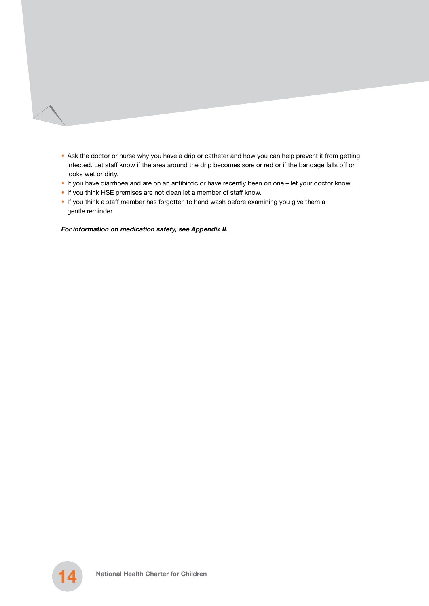- Ask the doctor or nurse why you have a drip or catheter and how you can help prevent it from getting infected. Let staff know if the area around the drip becomes sore or red or if the bandage falls off or looks wet or dirty.
- If you have diarrhoea and are on an antibiotic or have recently been on one let your doctor know.
- If you think HSE premises are not clean let a member of staff know.
- If you think a staff member has forgotten to hand wash before examining you give them a gentle reminder.

#### *For information on medication safety, see Appendix II.*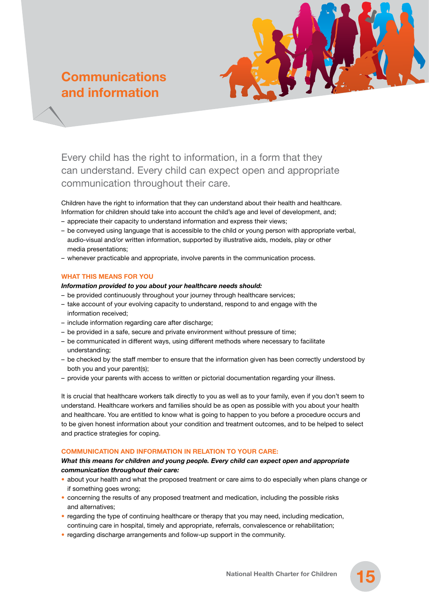# **Communications and information**



Every child has the right to information, in a form that they can understand. Every child can expect open and appropriate communication throughout their care.

Children have the right to information that they can understand about their health and healthcare. Information for children should take into account the child's age and level of development, and;

- appreciate their capacity to understand information and express their views;
- be conveyed using language that is accessible to the child or young person with appropriate verbal, audio-visual and/or written information, supported by illustrative aids, models, play or other media presentations;
- whenever practicable and appropriate, involve parents in the communication process.

### **WHAT THIS MEANS FOR YOU**

#### *Information provided to you about your healthcare needs should:*

- be provided continuously throughout your journey through healthcare services;
- take account of your evolving capacity to understand, respond to and engage with the information received;
- include information regarding care after discharge;
- be provided in a safe, secure and private environment without pressure of time;
- be communicated in different ways, using different methods where necessary to facilitate understanding;
- be checked by the staff member to ensure that the information given has been correctly understood by both you and your parent(s);
- provide your parents with access to written or pictorial documentation regarding your illness.

It is crucial that healthcare workers talk directly to you as well as to your family, even if you don't seem to understand. Healthcare workers and families should be as open as possible with you about your health and healthcare. You are entitled to know what is going to happen to you before a procedure occurs and to be given honest information about your condition and treatment outcomes, and to be helped to select and practice strategies for coping.

# **COMMUNICATION AND INFORMATION IN RELATION TO YOUR CARE:**

## *What this means for children and young people. Every child can expect open and appropriate communication throughout their care:*

- about your health and what the proposed treatment or care aims to do especially when plans change or if something goes wrong;
- concerning the results of any proposed treatment and medication, including the possible risks and alternatives;
- regarding the type of continuing healthcare or therapy that you may need, including medication, continuing care in hospital, timely and appropriate, referrals, convalescence or rehabilitation;
- regarding discharge arrangements and follow-up support in the community.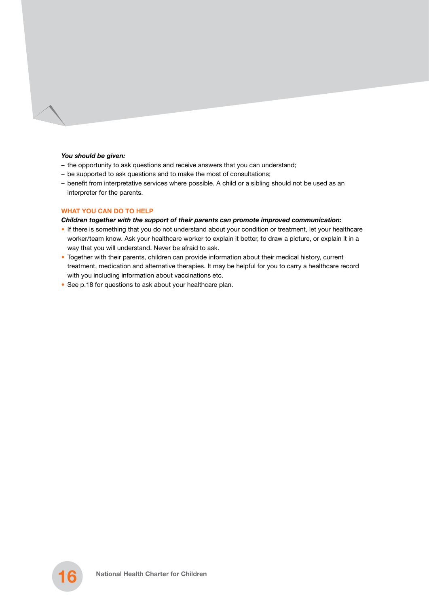#### *You should be given:*

- the opportunity to ask questions and receive answers that you can understand;
- be supported to ask questions and to make the most of consultations;
- benefit from interpretative services where possible. A child or a sibling should not be used as an interpreter for the parents.

#### **WHAT YOU CAN DO TO HELP**

#### *Children together with the support of their parents can promote improved communication:*

- If there is something that you do not understand about your condition or treatment, let your healthcare worker/team know. Ask your healthcare worker to explain it better, to draw a picture, or explain it in a way that you will understand. Never be afraid to ask.
- Together with their parents, children can provide information about their medical history, current treatment, medication and alternative therapies. It may be helpful for you to carry a healthcare record with you including information about vaccinations etc.
- See p.18 for questions to ask about your healthcare plan.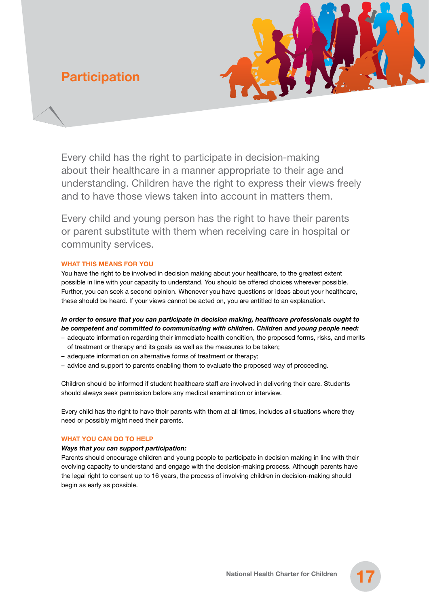# **Participation**



Every child has the right to participate in decision-making about their healthcare in a manner appropriate to their age and understanding. Children have the right to express their views freely and to have those views taken into account in matters them.

Every child and young person has the right to have their parents or parent substitute with them when receiving care in hospital or community services.

### **WHAT THIS MEANS FOR YOU**

You have the right to be involved in decision making about your healthcare, to the greatest extent possible in line with your capacity to understand. You should be offered choices wherever possible. Further, you can seek a second opinion. Whenever you have questions or ideas about your healthcare, these should be heard. If your views cannot be acted on, you are entitled to an explanation.

*In order to ensure that you can participate in decision making, healthcare professionals ought to be competent and committed to communicating with children. Children and young people need:*

- adequate information regarding their immediate health condition, the proposed forms, risks, and merits of treatment or therapy and its goals as well as the measures to be taken;
- adequate information on alternative forms of treatment or therapy;
- advice and support to parents enabling them to evaluate the proposed way of proceeding.

Children should be informed if student healthcare staff are involved in delivering their care. Students should always seek permission before any medical examination or interview.

Every child has the right to have their parents with them at all times, includes all situations where they need or possibly might need their parents.

# **WHAT YOU CAN DO TO HELP**

### *Ways that you can support participation:*

Parents should encourage children and young people to participate in decision making in line with their evolving capacity to understand and engage with the decision-making process. Although parents have the legal right to consent up to 16 years, the process of involving children in decision-making should begin as early as possible.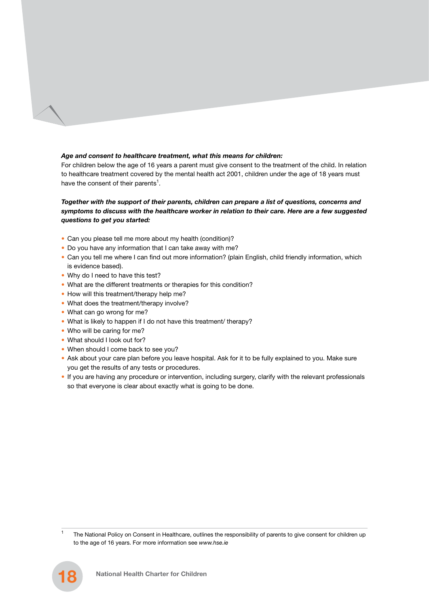### *Age and consent to healthcare treatment, what this means for children:*

For children below the age of 16 years a parent must give consent to the treatment of the child. In relation to healthcare treatment covered by the mental health act 2001, children under the age of 18 years must have the consent of their parents<sup>1</sup>.

## *Together with the support of their parents, children can prepare a list of questions, concerns and symptoms to discuss with the healthcare worker in relation to their care. Here are a few suggested questions to get you started:*

- Can you please tell me more about my health (condition)?
- Do you have any information that I can take away with me?
- Can you tell me where I can find out more information? (plain English, child friendly information, which is evidence based).
- Why do I need to have this test?
- What are the different treatments or therapies for this condition?
- How will this treatment/therapy help me?
- What does the treatment/therapy involve?
- What can go wrong for me?
- What is likely to happen if I do not have this treatment/ therapy?
- Who will be caring for me?
- What should I look out for?
- When should I come back to see you?
- Ask about your care plan before you leave hospital. Ask for it to be fully explained to you. Make sure you get the results of any tests or procedures.
- If you are having any procedure or intervention, including surgery, clarify with the relevant professionals so that everyone is clear about exactly what is going to be done.

<sup>1</sup> The National Policy on Consent in Healthcare, outlines the responsibility of parents to give consent for children up to the age of 16 years. For more information see *www.hse.ie*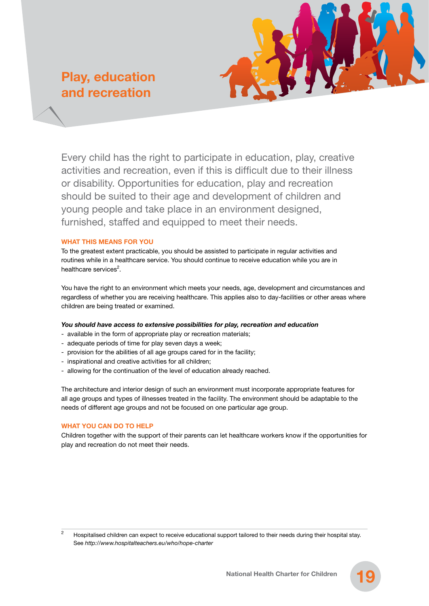# **Play, education and recreation**



Every child has the right to participate in education, play, creative activities and recreation, even if this is difficult due to their illness or disability. Opportunities for education, play and recreation should be suited to their age and development of children and young people and take place in an environment designed, furnished, staffed and equipped to meet their needs.

### **WHAT THIS MEANS FOR YOU**

To the greatest extent practicable, you should be assisted to participate in regular activities and routines while in a healthcare service. You should continue to receive education while you are in healthcare services<sup>2</sup>.

You have the right to an environment which meets your needs, age, development and circumstances and regardless of whether you are receiving healthcare. This applies also to day-facilities or other areas where children are being treated or examined.

### *You should have access to extensive possibilities for play, recreation and education*

- available in the form of appropriate play or recreation materials;
- adequate periods of time for play seven days a week;
- provision for the abilities of all age groups cared for in the facility;
- inspirational and creative activities for all children;
- allowing for the continuation of the level of education already reached.

The architecture and interior design of such an environment must incorporate appropriate features for all age groups and types of illnesses treated in the facility. The environment should be adaptable to the needs of different age groups and not be focused on one particular age group.

# **WHAT YOU CAN DO TO HELP**

Children together with the support of their parents can let healthcare workers know if the opportunities for play and recreation do not meet their needs.

<sup>2</sup> Hospitalised children can expect to receive educational support tailored to their needs during their hospital stay. See *http://www.hospitalteachers.eu/who/hope-charter*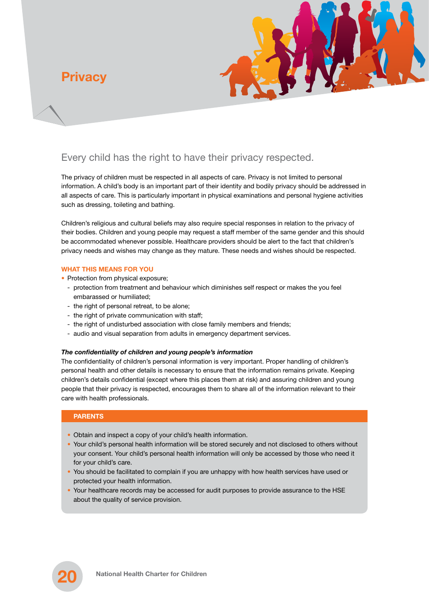**Privacy**



# Every child has the right to have their privacy respected.

The privacy of children must be respected in all aspects of care. Privacy is not limited to personal information. A child's body is an important part of their identity and bodily privacy should be addressed in all aspects of care. This is particularly important in physical examinations and personal hygiene activities such as dressing, toileting and bathing.

Children's religious and cultural beliefs may also require special responses in relation to the privacy of their bodies. Children and young people may request a staff member of the same gender and this should be accommodated whenever possible. Healthcare providers should be alert to the fact that children's privacy needs and wishes may change as they mature. These needs and wishes should be respected.

### **WHAT THIS MEANS FOR YOU**

• Protection from physical exposure;

- protection from treatment and behaviour which diminishes self respect or makes the you feel embarassed or humiliated;
- the right of personal retreat, to be alone;
- the right of private communication with staff:
- the right of undisturbed association with close family members and friends;
- audio and visual separation from adults in emergency department services.

### *The confidentiality of children and young people's information*

The confidentiality of children's personal information is very important. Proper handling of children's personal health and other details is necessary to ensure that the information remains private. Keeping children's details confidential (except where this places them at risk) and assuring children and young people that their privacy is respected, encourages them to share all of the information relevant to their care with health professionals.

### **PARENTS**

- Obtain and inspect a copy of your child's health information.
- Your child's personal health information will be stored securely and not disclosed to others without your consent. Your child's personal health information will only be accessed by those who need it for your child's care.
- You should be facilitated to complain if you are unhappy with how health services have used or protected your health information.
- Your healthcare records may be accessed for audit purposes to provide assurance to the HSE about the quality of service provision.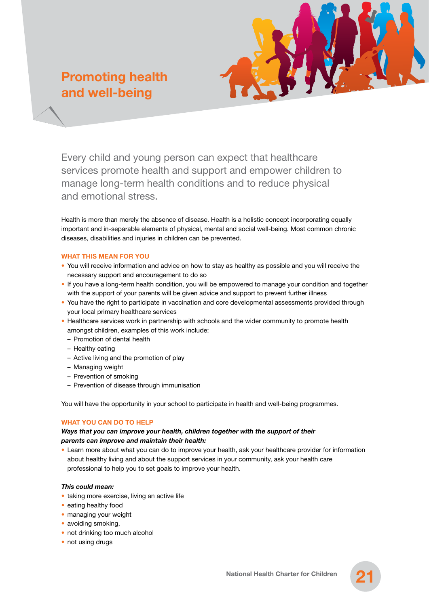# **Promoting health and well-being**



Every child and young person can expect that healthcare services promote health and support and empower children to manage long-term health conditions and to reduce physical and emotional stress.

Health is more than merely the absence of disease. Health is a holistic concept incorporating equally important and in-separable elements of physical, mental and social well-being. Most common chronic diseases, disabilities and injuries in children can be prevented.

### **WHAT THIS MEAN FOR YOU**

- You will receive information and advice on how to stay as healthy as possible and you will receive the necessary support and encouragement to do so
- If you have a long-term health condition, you will be empowered to manage your condition and together with the support of your parents will be given advice and support to prevent further illness
- You have the right to participate in vaccination and core developmental assessments provided through your local primary healthcare services
- Healthcare services work in partnership with schools and the wider community to promote health amongst children, examples of this work include:
	- Promotion of dental health
	- Healthy eating
	- Active living and the promotion of play
	- Managing weight
	- Prevention of smoking
	- Prevention of disease through immunisation

You will have the opportunity in your school to participate in health and well-being programmes.

### **WHAT YOU CAN DO TO HELP**

### *Ways that you can improve your health, children together with the support of their parents can improve and maintain their health:*

• Learn more about what you can do to improve your health, ask your healthcare provider for information about healthy living and about the support services in your community, ask your health care professional to help you to set goals to improve your health.

#### *This could mean:*

- taking more exercise, living an active life
- eating healthy food
- managing your weight
- avoiding smoking,
- not drinking too much alcohol
- not using drugs

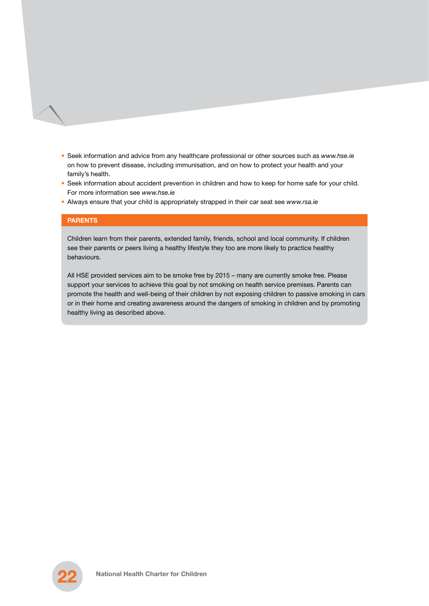- Seek information and advice from any healthcare professional or other sources such as *www.hse.ie* on how to prevent disease, including immunisation, and on how to protect your health and your family's health.
- Seek information about accident prevention in children and how to keep for home safe for your child. For more information see *www.hse.ie*
- Always ensure that your child is appropriately strapped in their car seat see *www.rsa.ie*

#### **PARENTS**

Children learn from their parents, extended family, friends, school and local community. If children see their parents or peers living a healthy lifestyle they too are more likely to practice healthy behaviours.

All HSE provided services aim to be smoke free by 2015 – many are currently smoke free. Please support your services to achieve this goal by not smoking on health service premises. Parents can promote the health and well-being of their children by not exposing children to passive smoking in cars or in their home and creating awareness around the dangers of smoking in children and by promoting healthy living as described above.

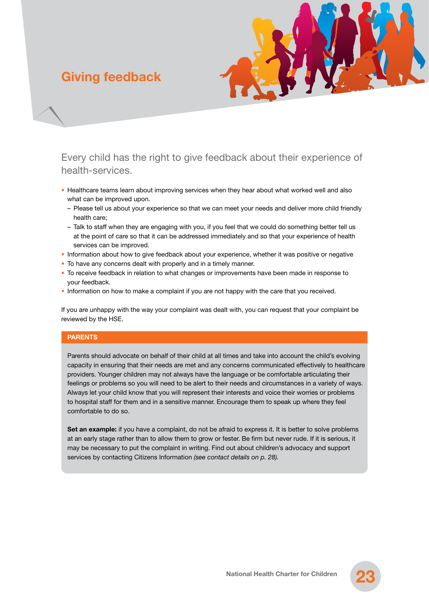# **Giving feedback**



Every child has the right to give feedback about their experience of health-services.

- Healthcare teams learn about improving services when they hear about what worked well and also what can be improved upon.
	- Please tell us about your experience so that we can meet your needs and deliver more child friendly health care;
	- Talk to staff when they are engaging with you, if you feel that we could do something better tell us at the point of care so that it can be addressed immediately and so that your experience of health services can be improved.
- Information about how to give feedback about your experience, whether it was positive or negative
- To have any concerns dealt with properly and in a timely manner.
- To receive feedback in relation to what changes or improvements have been made in response to your feedback.
- Information on how to make a complaint if you are not happy with the care that you received.

If you are unhappy with the way your complaint was dealt with, you can request that your complaint be reviewed by the HSE.

### **PARENTS**

Parents should advocate on behalf of their child at all times and take into account the child's evolving capacity in ensuring that their needs are met and any concerns communicated effectively to healthcare providers. Younger children may not always have the language or be comfortable articulating their feelings or problems so you will need to be alert to their needs and circumstances in a variety of ways. Always let your child know that you will represent their interests and voice their worries or problems to hospital staff for them and in a sensitive manner. Encourage them to speak up where they feel comfortable to do so.

Set an example: if you have a complaint, do not be afraid to express it. It is better to solve problems at an early stage rather than to allow them to grow or fester. Be firm but never rude. If it is serious, it may be necessary to put the complaint in writing. Find out about children's advocacy and support services by contacting Citizens Information *(see contact details on p. 28).*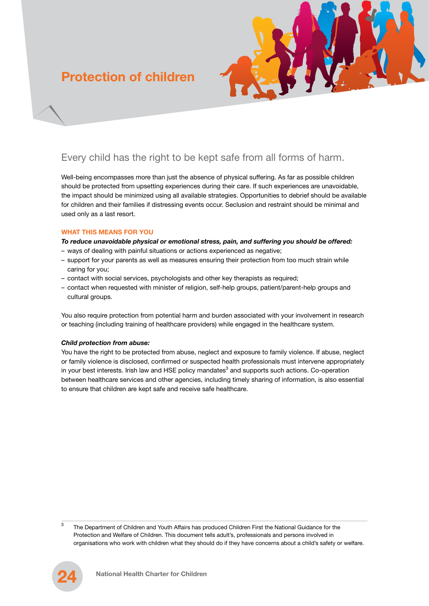# **Protection of children**



# Every child has the right to be kept safe from all forms of harm.

Well-being encompasses more than just the absence of physical suffering. As far as possible children should be protected from upsetting experiences during their care. If such experiences are unavoidable, the impact should be minimized using all available strategies. Opportunities to debrief should be available for children and their families if distressing events occur. Seclusion and restraint should be minimal and used only as a last resort.

### **WHAT THIS MEANS FOR YOU**

*To reduce unavoidable physical or emotional stress, pain, and suffering you should be offered:*

- ways of dealing with painful situations or actions experienced as negative;
- support for your parents as well as measures ensuring their protection from too much strain while caring for you;
- contact with social services, psychologists and other key therapists as required;
- contact when requested with minister of religion, self-help groups, patient/parent-help groups and cultural groups.

You also require protection from potential harm and burden associated with your involvement in research or teaching (including training of healthcare providers) while engaged in the healthcare system.

# *Child protection from abuse:*

You have the right to be protected from abuse, neglect and exposure to family violence. If abuse, neglect or family violence is disclosed, confirmed or suspected health professionals must intervene appropriately in your best interests. Irish law and HSE policy mandates<sup>3</sup> and supports such actions. Co-operation between healthcare services and other agencies, including timely sharing of information, is also essential to ensure that children are kept safe and receive safe healthcare.

<sup>3</sup> The Department of Children and Youth Affairs has produced Children First the National Guidance for the Protection and Welfare of Children. This document tells adult's, professionals and persons involved in organisations who work with children what they should do if they have concerns about a child's safety or welfare.

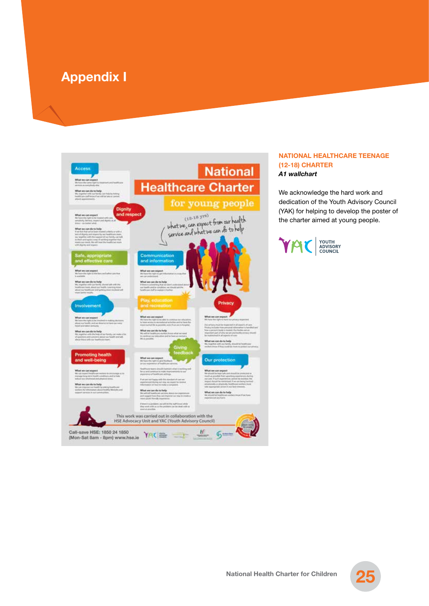# **Appendix I**



### **NATIONAL HEALTHCARE TEENAGE (12-18) CHARTER** *A1 wallchart*

We acknowledge the hard work and dedication of the Youth Advisory Council (YAK) for helping to develop the poster of the charter aimed at young people.



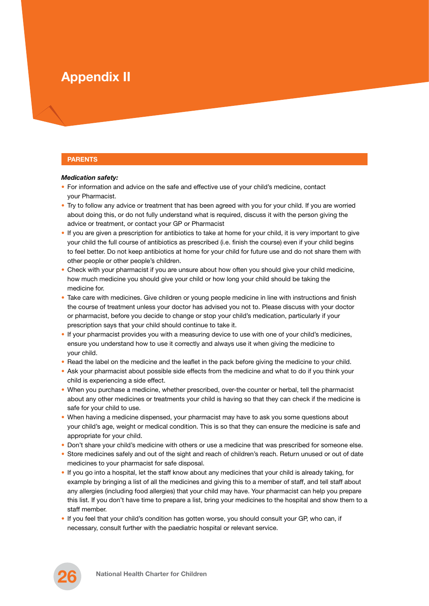# **Appendix II**

# **PARENTS**

#### *Medication safety:*

- For information and advice on the safe and effective use of your child's medicine, contact your Pharmacist.
- Try to follow any advice or treatment that has been agreed with you for your child. If you are worried about doing this, or do not fully understand what is required, discuss it with the person giving the advice or treatment, or contact your GP or Pharmacist
- If you are given a prescription for antibiotics to take at home for your child, it is very important to give your child the full course of antibiotics as prescribed (i.e. finish the course) even if your child begins to feel better. Do not keep antibiotics at home for your child for future use and do not share them with other people or other people's children.
- Check with your pharmacist if you are unsure about how often you should give your child medicine, how much medicine you should give your child or how long your child should be taking the medicine for.
- Take care with medicines. Give children or young people medicine in line with instructions and finish the course of treatment unless your doctor has advised you not to. Please discuss with your doctor or pharmacist, before you decide to change or stop your child's medication, particularly if your prescription says that your child should continue to take it.
- If your pharmacist provides you with a measuring device to use with one of your child's medicines, ensure you understand how to use it correctly and always use it when giving the medicine to your child.
- Read the label on the medicine and the leaflet in the pack before giving the medicine to your child.
- Ask your pharmacist about possible side effects from the medicine and what to do if you think your child is experiencing a side effect.
- When you purchase a medicine, whether prescribed, over-the counter or herbal, tell the pharmacist about any other medicines or treatments your child is having so that they can check if the medicine is safe for your child to use.
- When having a medicine dispensed, your pharmacist may have to ask you some questions about your child's age, weight or medical condition. This is so that they can ensure the medicine is safe and appropriate for your child.
- Don't share your child's medicine with others or use a medicine that was prescribed for someone else.
- Store medicines safely and out of the sight and reach of children's reach. Return unused or out of date medicines to your pharmacist for safe disposal.
- If you go into a hospital, let the staff know about any medicines that your child is already taking, for example by bringing a list of all the medicines and giving this to a member of staff, and tell staff about any allergies (including food allergies) that your child may have. Your pharmacist can help you prepare this list. If you don't have time to prepare a list, bring your medicines to the hospital and show them to a staff member.
- If you feel that your child's condition has gotten worse, you should consult your GP, who can, if necessary, consult further with the paediatric hospital or relevant service.

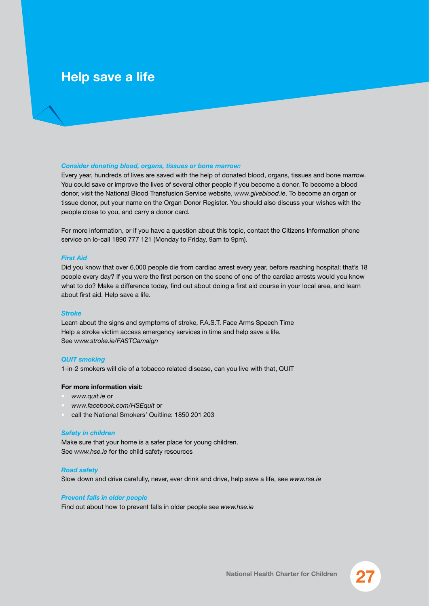# **Help save a life**

#### *Consider donating blood, organs, tissues or bone marrow:*

Every year, hundreds of lives are saved with the help of donated blood, organs, tissues and bone marrow. You could save or improve the lives of several other people if you become a donor. To become a blood donor, visit the National Blood Transfusion Service website, *www.giveblood.ie*. To become an organ or tissue donor, put your name on the Organ Donor Register. You should also discuss your wishes with the people close to you, and carry a donor card.

For more information, or if you have a question about this topic, contact the Citizens Information phone service on lo-call 1890 777 121 (Monday to Friday, 9am to 9pm).

#### *First Aid*

Did you know that over 6,000 people die from cardiac arrest every year, before reaching hospital; that's 18 people every day? If you were the first person on the scene of one of the cardiac arrests would you know what to do? Make a difference today, find out about doing a first aid course in your local area, and learn about first aid. Help save a life.

#### *Stroke*

Learn about the signs and symptoms of stroke, F.A.S.T. Face Arms Speech Time Help a stroke victim access emergency services in time and help save a life. See *www.stroke.ie/FASTCamaign*

#### *QUIT smoking*

1-in-2 smokers will die of a tobacco related disease, can you live with that, QUIT

#### **For more information visit:**

- *www.quit.ie* or
- *www.facebook.com/HSEquit* or
- call the National Smokers' Quitline: 1850 201 203

#### *Safety in children*

Make sure that your home is a safer place for young children. See *www.hse.ie* for the child safety resources

#### *Road safety*

Slow down and drive carefully, never, ever drink and drive, help save a life, see *www.rsa.ie*

#### *Prevent falls in older people*

Find out about how to prevent falls in older people see *www.hse.ie*

**27 National Health Charter for Children**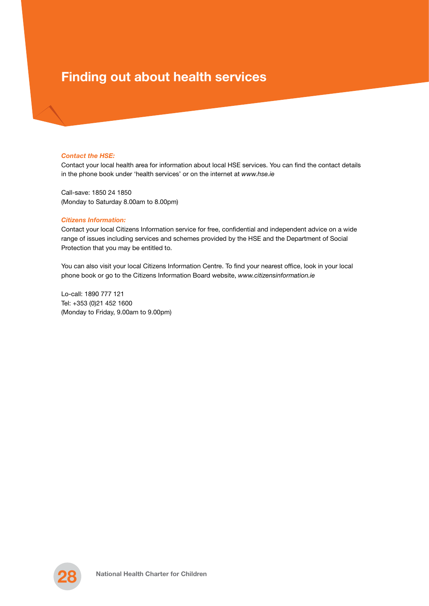# **Finding out about health services**

#### *Contact the HSE:*

Contact your local health area for information about local HSE services. You can find the contact details in the phone book under 'health services' or on the internet at *www.hse.ie*

Call-save: 1850 24 1850 (Monday to Saturday 8.00am to 8.00pm)

#### *Citizens Information:*

Contact your local Citizens Information service for free, confidential and independent advice on a wide range of issues including services and schemes provided by the HSE and the Department of Social Protection that you may be entitled to.

You can also visit your local Citizens Information Centre. To find your nearest office, look in your local phone book or go to the Citizens Information Board website, *www.citizensinformation.ie*

Lo-call: 1890 777 121 Tel: +353 (0)21 452 1600 (Monday to Friday, 9.00am to 9.00pm)

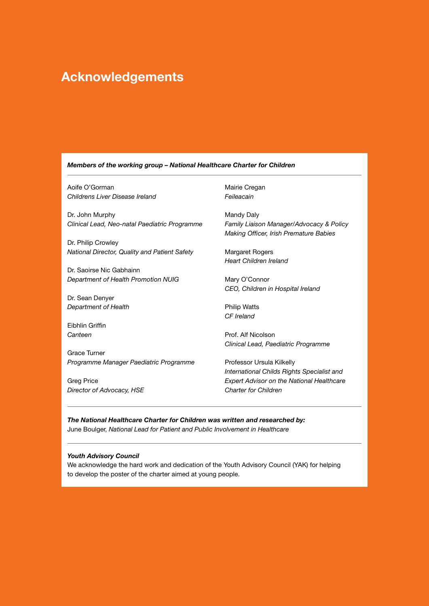# **Acknowledgements**

#### *Members of the working group – National Healthcare Charter for Children*

Aoife O'Gorman *Childrens Liver Disease Ireland*

Dr. John Murphy *Clinical Lead, Neo-natal Paediatric Programme*

Dr. Philip Crowley *National Director, Quality and Patient Safety*

Dr. Saoirse Nic Gabhainn *Department of Health Promotion NUIG*

Dr. Sean Denyer *Department of Health* 

Eibhlin Griffin *Canteen*

Grace Turner *Programme Manager Paediatric Programme*

Greg Price *Director of Advocacy, HSE* Mairie Cregan *Feileacain*

Mandy Daly *Family Liaison Manager/Advocacy & Policy Making Officer, Irish Premature Babies*

Margaret Rogers *Heart Children Ireland*

Mary O'Connor *CEO, Children in Hospital Ireland*

Philip Watts *CF Ireland*

Prof. Alf Nicolson *Clinical Lead, Paediatric Programme*

Professor Ursula Kilkelly *International Childs Rights Specialist and Expert Advisor on the National Healthcare Charter for Children*

*The National Healthcare Charter for Children was written and researched by:* June Boulger, *National Lead for Patient and Public Involvement in Healthcare*

#### *Youth Advisory Council*

We acknowledge the hard work and dedication of the Youth Advisory Council (YAK) for helping to develop the poster of the charter aimed at young people.